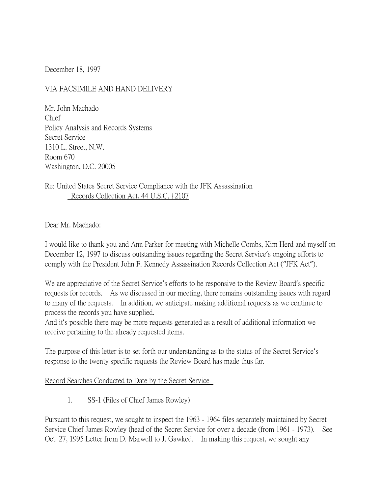December 18, 1997

#### VIA FACSIMILE AND HAND DELIVERY

Mr. John Machado Chief Policy Analysis and Records Systems Secret Service 1310 L. Street, N.W. Room 670 Washington, D.C. 20005

#### Re: United States Secret Service Compliance with the JFK Assassination Records Collection Act, 44 U.S.C. {2107

Dear Mr. Machado:

I would like to thank you and Ann Parker for meeting with Michelle Combs, Kim Herd and myself on December 12, 1997 to discuss outstanding issues regarding the Secret Service's ongoing efforts to comply with the President John F. Kennedy Assassination Records Collection Act ("JFK Act").

We are appreciative of the Secret Service's efforts to be responsive to the Review Board's specific requests for records. As we discussed in our meeting, there remains outstanding issues with regard to many of the requests. In addition, we anticipate making additional requests as we continue to process the records you have supplied.

And it's possible there may be more requests generated as a result of additional information we receive pertaining to the already requested items.

The purpose of this letter is to set forth our understanding as to the status of the Secret Service's response to the twenty specific requests the Review Board has made thus far.

#### Record Searches Conducted to Date by the Secret Service

1. SS-1 (Files of Chief James Rowley)

Pursuant to this request, we sought to inspect the 1963 - 1964 files separately maintained by Secret Service Chief James Rowley (head of the Secret Service for over a decade (from 1961 - 1973). See Oct. 27, 1995 Letter from D. Marwell to J. Gawked. In making this request, we sought any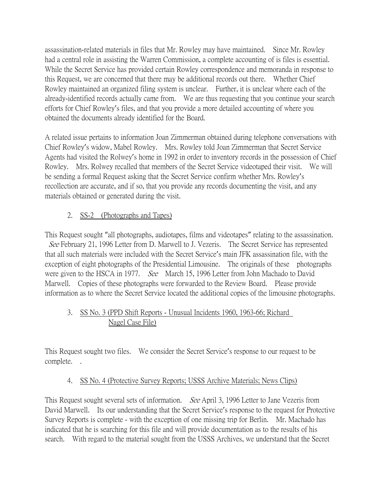assassination-related materials in files that Mr. Rowley may have maintained. Since Mr. Rowley had a central role in assisting the Warren Commission, a complete accounting of is files is essential. While the Secret Service has provided certain Rowley correspondence and memoranda in response to this Request, we are concerned that there may be additional records out there. Whether Chief Rowley maintained an organized filing system is unclear. Further, it is unclear where each of the already-identified records actually came from. We are thus requesting that you continue your search efforts for Chief Rowley's files, and that you provide a more detailed accounting of where you obtained the documents already identified for the Board.

A related issue pertains to information Joan Zimmerman obtained during telephone conversations with Chief Rowley's widow, Mabel Rowley. Mrs. Rowley told Joan Zimmerman that Secret Service Agents had visited the Rolwey's home in 1992 in order to inventory records in the possession of Chief Rowley. Mrs. Rolwey recalled that members of the Secret Service videotaped their visit. We will be sending a formal Request asking that the Secret Service confirm whether Mrs. Rowley's recollection are accurate, and if so, that you provide any records documenting the visit, and any materials obtained or generated during the visit.

# 2. SS-2 (Photographs and Tapes)

This Request sought "all photographs, audiotapes, films and videotapes" relating to the assassination. See February 21, 1996 Letter from D. Marwell to J. Vezeris. The Secret Service has represented that all such materials were included with the Secret Service's main JFK assassination file, with the exception of eight photographs of the Presidential Limousine. The originals of these photographs were given to the HSCA in 1977. *See* March 15, 1996 Letter from John Machado to David Marwell. Copies of these photographs were forwarded to the Review Board. Please provide information as to where the Secret Service located the additional copies of the limousine photographs.

# 3. SS No. 3 (PPD Shift Reports - Unusual Incidents 1960, 1963-66; Richard Nagel Case File)

This Request sought two files. We consider the Secret Service's response to our request to be complete. .

### 4. SS No. 4 (Protective Survey Reports; USSS Archive Materials; News Clips)

This Request sought several sets of information. *See* April 3, 1996 Letter to Jane Vezeris from David Marwell. Its our understanding that the Secret Service's response to the request for Protective Survey Reports is complete - with the exception of one missing trip for Berlin. Mr. Machado has indicated that he is searching for this file and will provide documentation as to the results of his search. With regard to the material sought from the USSS Archives, we understand that the Secret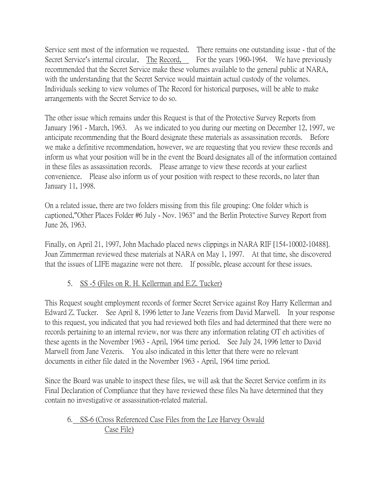Service sent most of the information we requested. There remains one outstanding issue - that of the Secret Service's internal circular, The Record, For the years 1960-1964. We have previously recommended that the Secret Service make these volumes available to the general public at NARA, with the understanding that the Secret Service would maintain actual custody of the volumes. Individuals seeking to view volumes of The Record for historical purposes, will be able to make arrangements with the Secret Service to do so.

The other issue which remains under this Request is that of the Protective Survey Reports from January 1961 - March, 1963. As we indicated to you during our meeting on December 12, 1997, we anticipate recommending that the Board designate these materials as assassination records. Before we make a definitive recommendation, however, we are requesting that you review these records and inform us what your position will be in the event the Board designates all of the information contained in these files as assassination records. Please arrange to view these records at your earliest convenience. Please also inform us of your position with respect to these records, no later than January 11, 1998.

On a related issue, there are two folders missing from this file grouping: One folder which is captioned,"Other Places Folder #6 July - Nov. 1963" and the Berlin Protective Survey Report from June 26, 1963.

Finally, on April 21, 1997, John Machado placed news clippings in NARA RIF [154-10002-10488]. Joan Zimmerman reviewed these materials at NARA on May 1, 1997. At that time, she discovered that the issues of LIFE magazine were not there. If possible, please account for these issues.

### 5. SS -5 (Files on R. H. Kellerman and E.Z. Tucker)

This Request sought employment records of former Secret Service against Roy Harry Kellerman and Edward Z. Tucker. See April 8, 1996 letter to Jane Vezeris from David Marwell. In your response to this request, you indicated that you had reviewed both files and had determined that there were no records pertaining to an internal review, nor was there any information relating OT eh activities of these agents in the November 1963 - April, 1964 time period. See July 24, 1996 letter to David Marwell from Jane Vezeris. You also indicated in this letter that there were no relevant documents in either file dated in the November 1963 - April, 1964 time period.

Since the Board was unable to inspect these files, we will ask that the Secret Service confirm in its Final Declaration of Compliance that they have reviewed these files Na have determined that they contain no investigative or assassination-related material.

# 6. SS-6 (Cross Referenced Case Files from the Lee Harvey Oswald Case File)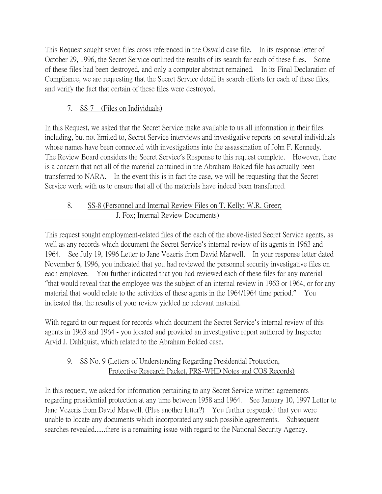This Request sought seven files cross referenced in the Oswald case file. In its response letter of October 29, 1996, the Secret Service outlined the results of its search for each of these files. Some of these files had been destroyed, and only a computer abstract remained. In its Final Declaration of Compliance, we are requesting that the Secret Service detail its search efforts for each of these files, and verify the fact that certain of these files were destroyed.

# 7. SS-7 (Files on Individuals)

In this Request, we asked that the Secret Service make available to us all information in their files including, but not limited to, Secret Service interviews and investigative reports on several individuals whose names have been connected with investigations into the assassination of John F. Kennedy. The Review Board considers the Secret Service's Response to this request complete. However, there is a concern that not all of the material contained in the Abraham Bolded file has actually been transferred to NARA. In the event this is in fact the case, we will be requesting that the Secret Service work with us to ensure that all of the materials have indeed been transferred.

# 8. SS-8 (Personnel and Internal Review Files on T. Kelly; W.R. Greer; J. Fox; Internal Review Documents)

This request sought employment-related files of the each of the above-listed Secret Service agents, as well as any records which document the Secret Service's internal review of its agents in 1963 and 1964. See July 19, 1996 Letter to Jane Vezeris from David Marwell. In your response letter dated November 6, 1996, you indicated that you had reviewed the personnel security investigative files on each employee. You further indicated that you had reviewed each of these files for any material "that would reveal that the employee was the subject of an internal review in 1963 or 1964, or for any material that would relate to the activities of these agents in the 1964/1964 time period." You indicated that the results of your review yielded no relevant material.

With regard to our request for records which document the Secret Service's internal review of this agents in 1963 and 1964 - you located and provided an investigative report authored by Inspector Arvid J. Dahlquist, which related to the Abraham Bolded case.

# 9. SS No. 9 (Letters of Understanding Regarding Presidential Protection, Protective Research Packet, PRS-WHD Notes and COS Records)

In this request, we asked for information pertaining to any Secret Service written agreements regarding presidential protection at any time between 1958 and 1964. See January 10, 1997 Letter to Jane Vezeris from David Marwell. (Plus another letter?) You further responded that you were unable to locate any documents which incorporated any such possible agreements. Subsequent searches revealed......there is a remaining issue with regard to the National Security Agency.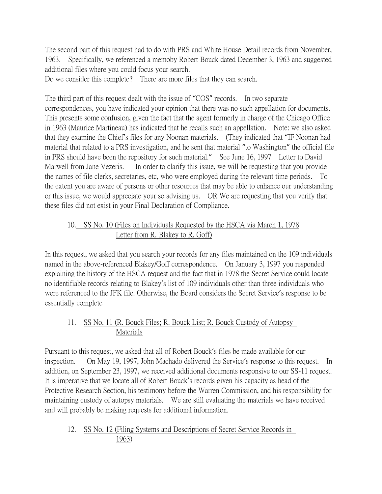The second part of this request had to do with PRS and White House Detail records from November, 1963. Specifically, we referenced a memoby Robert Bouck dated December 3, 1963 and suggested additional files where you could focus your search.

Do we consider this complete? There are more files that they can search.

The third part of this request dealt with the issue of "COS" records. In two separate correspondences, you have indicated your opinion that there was no such appellation for documents. This presents some confusion, given the fact that the agent formerly in charge of the Chicago Office in 1963 (Maurice Martineau) has indicated that he recalls such an appellation. Note: we also asked that they examine the Chief's files for any Noonan materials. (They indicated that "IF Noonan had material that related to a PRS investigation, and he sent that material "to Washington" the official file in PRS should have been the repository for such material." See June 16, 1997 Letter to David Marwell from Jane Vezeris. In order to clarify this issue, we will be requesting that you provide the names of file clerks, secretaries, etc, who were employed during the relevant time periods. To the extent you are aware of persons or other resources that may be able to enhance our understanding or this issue, we would appreciate your so advising us. OR We are requesting that you verify that these files did not exist in your Final Declaration of Compliance.

## 10. SS No. 10 (Files on Individuals Requested by the HSCA via March 1, 1978 Letter from R. Blakey to R. Goff)

In this request, we asked that you search your records for any files maintained on the 109 individuals named in the above-referenced Blakey/Goff correspondence. On January 3, 1997 you responded explaining the history of the HSCA request and the fact that in 1978 the Secret Service could locate no identifiable records relating to Blakey's list of 109 individuals other than three individuals who were referenced to the JFK file. Otherwise, the Board considers the Secret Service's response to be essentially complete

# 11. SS No. 11 (R. Bouck Files; R. Bouck List; R. Bouck Custody of Autopsy Materials

Pursuant to this request, we asked that all of Robert Bouck's files be made available for our inspection. On May 19, 1997, John Machado delivered the Service's response to this request. In addition, on September 23, 1997, we received additional documents responsive to our SS-11 request. It is imperative that we locate all of Robert Bouck's records given his capacity as head of the Protective Research Section, his testimony before the Warren Commission, and his responsibility for maintaining custody of autopsy materials. We are still evaluating the materials we have received and will probably be making requests for additional information.

12. SS No. 12 (Filing Systems and Descriptions of Secret Service Records in 1963)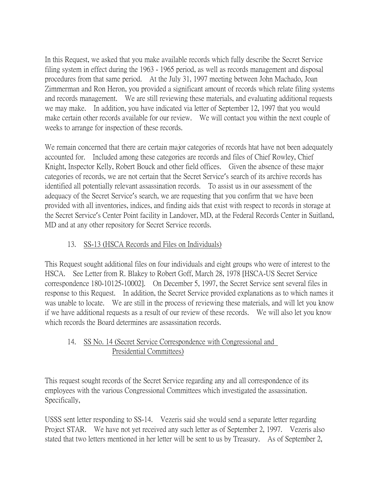In this Request, we asked that you make available records which fully describe the Secret Service filing system in effect during the 1963 - 1965 period, as well as records management and disposal procedures from that same period. At the July 31, 1997 meeting between John Machado, Joan Zimmerman and Ron Heron, you provided a significant amount of records which relate filing systems and records management. We are still reviewing these materials, and evaluating additional requests we may make. In addition, you have indicated via letter of September 12, 1997 that you would make certain other records available for our review. We will contact you within the next couple of weeks to arrange for inspection of these records.

We remain concerned that there are certain major categories of records htat have not been adequately accounted for. Included among these categories are records and files of Chief Rowley, Chief Knight, Inspector Kelly, Robert Bouck and other field offices. Given the absence of these major categories of records, we are not certain that the Secret Service's search of its archive records has identified all potentially relevant assassination records. To assist us in our assessment of the adequacy of the Secret Service's search, we are requesting that you confirm that we have been provided with all inventories, indices, and finding aids that exist with respect to records in storage at the Secret Service's Center Point facility in Landover, MD, at the Federal Records Center in Suitland, MD and at any other repository for Secret Service records.

# 13. SS-13 (HSCA Records and Files on Individuals)

This Request sought additional files on four individuals and eight groups who were of interest to the HSCA. See Letter from R. Blakey to Robert Goff, March 28, 1978 [HSCA-US Secret Service correspondence 180-10125-10002]. On December 5, 1997, the Secret Service sent several files in response to this Request. In addition, the Secret Service provided explanations as to which names it was unable to locate. We are still in the process of reviewing these materials, and will let you know if we have additional requests as a result of our review of these records. We will also let you know which records the Board determines are assassination records.

### 14. SS No. 14 (Secret Service Correspondence with Congressional and Presidential Committees)

This request sought records of the Secret Service regarding any and all correspondence of its employees with the various Congressional Committees which investigated the assassination. Specifically,

USSS sent letter responding to SS-14. Vezeris said she would send a separate letter regarding Project STAR. We have not yet received any such letter as of September 2, 1997. Vezeris also stated that two letters mentioned in her letter will be sent to us by Treasury. As of September 2,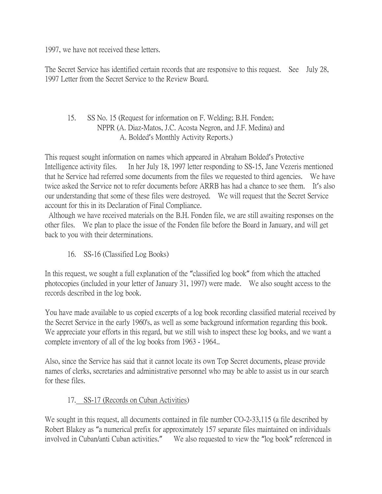1997, we have not received these letters.

The Secret Service has identified certain records that are responsive to this request. See July 28, 1997 Letter from the Secret Service to the Review Board.

### 15. SS No. 15 (Request for information on F. Welding; B.H. Fonden; NPPR (A. Diaz-Matos, J.C. Acosta Negron, and J.F. Medina) and A. Bolded's Monthly Activity Reports.)

This request sought information on names which appeared in Abraham Bolded's Protective Intelligence activity files. In her July 18, 1997 letter responding to SS-15, Jane Vezeris mentioned that he Service had referred some documents from the files we requested to third agencies. We have twice asked the Service not to refer documents before ARRB has had a chance to see them. It's also our understanding that some of these files were destroyed. We will request that the Secret Service account for this in its Declaration of Final Compliance.

Although we have received materials on the B.H. Fonden file, we are still awaiting responses on the other files. We plan to place the issue of the Fonden file before the Board in January, and will get back to you with their determinations.

16. SS-16 (Classified Log Books)

In this request, we sought a full explanation of the "classified log book" from which the attached photocopies (included in your letter of January 31, 1997) were made. We also sought access to the records described in the log book.

You have made available to us copied excerpts of a log book recording classified material received by the Secret Service in the early 1960's, as well as some background information regarding this book. We appreciate your efforts in this regard, but we still wish to inspect these log books, and we want a complete inventory of all of the log books from 1963 - 1964..

Also, since the Service has said that it cannot locate its own Top Secret documents, please provide names of clerks, secretaries and administrative personnel who may be able to assist us in our search for these files.

### 17. SS-17 (Records on Cuban Activities)

We sought in this request, all documents contained in file number CO-2-33,115 (a file described by Robert Blakey as "a numerical prefix for approximately 157 separate files maintained on individuals involved in Cuban/anti Cuban activities." We also requested to view the "log book" referenced in